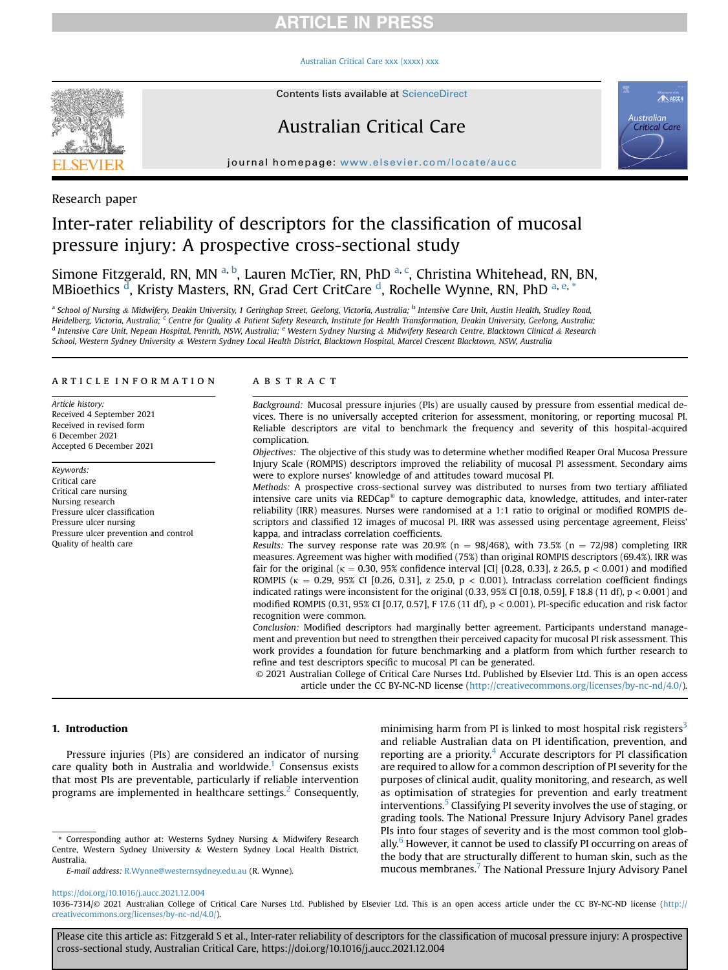## **RTICLE IN PRESS**

#### [Australian Critical Care xxx \(xxxx\) xxx](https://doi.org/10.1016/j.aucc.2021.12.004)



Contents lists available at ScienceDirect

# Australian Critical Care



journal homepage: <www.elsevier.com/locate/aucc>

## Research paper

# Inter-rater reliability of descriptors for the classification of mucosal pressure injury: A prospective cross-sectional study

Simone Fitzger[a](#page-0-0)ld, RN, MN <sup>a, [b](#page-0-0)</sup>, Lauren McTier, RN, PhD <sup>[a,](#page-0-0) [c](#page-0-1)</sup>, Christina Whitehead, RN, BN, MBioethics <sup>[d](#page-0-1)</sup>, Kristy Masters, RN, Grad Cert CritCare <sup>d</sup>, Rochelle Wynne, RN, PhD <sup>[a,](#page-0-0) [e,](#page-0-2) [\\*](#page-0-3)</sup>

<span id="page-0-2"></span><span id="page-0-1"></span><span id="page-0-0"></span>a School of Nursing & Midwifery, Deakin University, 1 Geringhap Street, Geelong, Victoria, Australia; <sup>b</sup> Intensive Care Unit, Austin Health, Studley Road, Heidelberg, Victoria, Australia; <sup>c</sup> Centre for Quality & Patient Safety Research, Institute for Health Transformation, Deakin University, Geelong, Australia; <sup>d</sup> Intensive Care Unit, Nepean Hospital, Penrith, NSW, Australia; <sup>e</sup> Western Sydney Nursing & Midwifery Research Centre, Blacktown Clinical & Research School, Western Sydney University & Western Sydney Local Health District, Blacktown Hospital, Marcel Crescent Blacktown, NSW, Australia

### article information

Article history: Received 4 September 2021 Received in revised form 6 December 2021 Accepted 6 December 2021

Keywords: Critical care Critical care nursing Nursing research Pressure ulcer classification Pressure ulcer nursing Pressure ulcer prevention and control Quality of health care

#### **ABSTRACT**

Background: Mucosal pressure injuries (PIs) are usually caused by pressure from essential medical devices. There is no universally accepted criterion for assessment, monitoring, or reporting mucosal PI. Reliable descriptors are vital to benchmark the frequency and severity of this hospital-acquired complication.

Objectives: The objective of this study was to determine whether modified Reaper Oral Mucosa Pressure Injury Scale (ROMPIS) descriptors improved the reliability of mucosal PI assessment. Secondary aims were to explore nurses' knowledge of and attitudes toward mucosal PI.

Methods: A prospective cross-sectional survey was distributed to nurses from two tertiary affiliated intensive care units via  $REDCap^*$  to capture demographic data, knowledge, attitudes, and inter-rater reliability (IRR) measures. Nurses were randomised at a 1:1 ratio to original or modified ROMPIS descriptors and classified 12 images of mucosal PI. IRR was assessed using percentage agreement, Fleiss' kappa, and intraclass correlation coefficients.

Results: The survey response rate was 20.9% ( $n = 98/468$ ), with 73.5% ( $n = 72/98$ ) completing IRR measures. Agreement was higher with modified (75%) than original ROMPIS descriptors (69.4%). IRR was fair for the original ( $\kappa = 0.30$ , 95% confidence interval [CI] [0.28, 0.33], z 26.5, p < 0.001) and modified ROMPIS ( $\kappa = 0.29$ , 95% CI [0.26, 0.31], z 25.0, p < 0.001). Intraclass correlation coefficient findings indicated ratings were inconsistent for the original (0.33, 95% CI [0.18, 0.59], F 18.8 (11 df),  $p < 0.001$ ) and modified ROMPIS (0.31, 95% CI [0.17, 0.57], F 17.6 (11 df), p < 0.001). PI-specific education and risk factor recognition were common.

Conclusion: Modified descriptors had marginally better agreement. Participants understand management and prevention but need to strengthen their perceived capacity for mucosal PI risk assessment. This work provides a foundation for future benchmarking and a platform from which further research to refine and test descriptors specific to mucosal PI can be generated.

© 2021 Australian College of Critical Care Nurses Ltd. Published by Elsevier Ltd. This is an open access article under the CC BY-NC-ND license [\(http://creativecommons.org/licenses/by-nc-nd/4.0/](http://creativecommons.org/licenses/by-nc-nd/4.0/)).

#### <span id="page-0-4"></span>1. Introduction

Pressure injuries (PIs) are considered an indicator of nursing care quality both in Australia and worldwide.<sup>[1](#page-5-0)</sup> Consensus exists that most PIs are preventable, particularly if reliable intervention programs are implemented in healthcare settings. $<sup>2</sup>$  $<sup>2</sup>$  $<sup>2</sup>$  Consequently,</sup>

minimising harm from PI is linked to most hospital risk registers<sup>3</sup> and reliable Australian data on PI identification, prevention, and reporting are a priority. $4$  Accurate descriptors for PI classification are required to allow for a common description of PI severity for the purposes of clinical audit, quality monitoring, and research, as well as optimisation of strategies for prevention and early treatment interventions.<sup>[5](#page-6-2)</sup> Classifying PI severity involves the use of staging, or grading tools. The National Pressure Injury Advisory Panel grades PIs into four stages of severity and is the most common tool globally. $6$  However, it cannot be used to classify PI occurring on areas of the body that are structurally different to human skin, such as the mucous membranes.[7](#page-6-4) The National Pressure Injury Advisory Panel

<https://doi.org/10.1016/j.aucc.2021.12.004>

<span id="page-0-3"></span><sup>\*</sup> Corresponding author at: Westerns Sydney Nursing & Midwifery Research Centre, Western Sydney University & Western Sydney Local Health District, Australia.

E-mail address: [R.Wynne@westernsydney.edu.au](mailto:R.Wynne@westernsydney.edu.au) (R. Wynne).

<sup>1036-7314/</sup>© 2021 Australian College of Critical Care Nurses Ltd. Published by Elsevier Ltd. This is an open access article under the CC BY-NC-ND license ([http://](http://creativecommons.org/licenses/by-nc-nd/4.0/) [creativecommons.org/licenses/by-nc-nd/4.0/](http://creativecommons.org/licenses/by-nc-nd/4.0/)).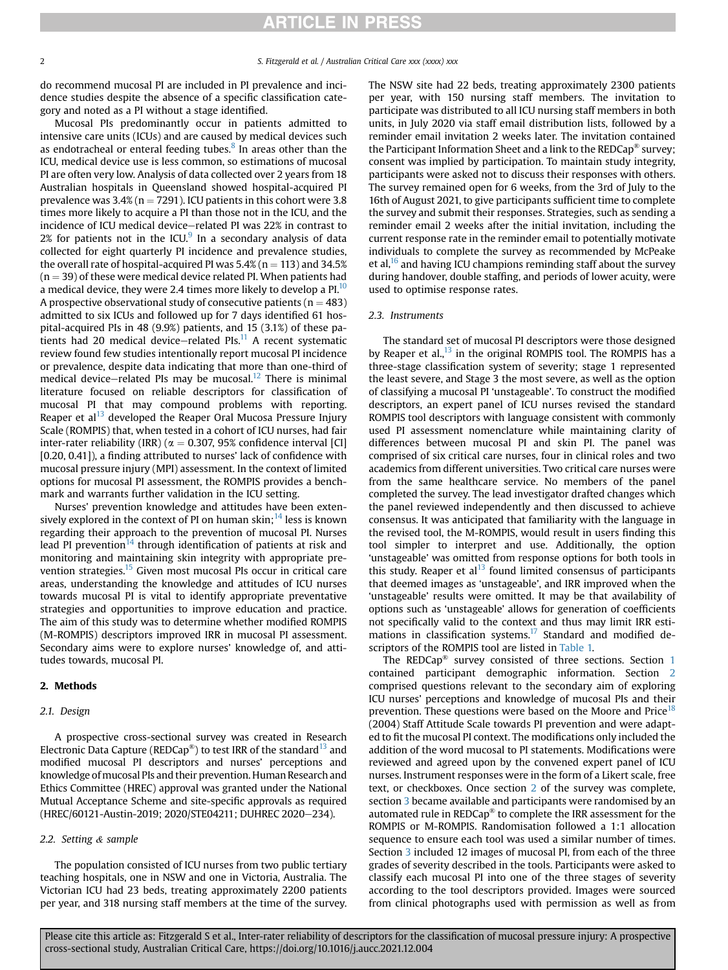do recommend mucosal PI are included in PI prevalence and incidence studies despite the absence of a specific classification category and noted as a PI without a stage identified.

Mucosal PIs predominantly occur in patients admitted to intensive care units (ICUs) and are caused by medical devices such as endotracheal or enteral feeding tubes. $8$  In areas other than the ICU, medical device use is less common, so estimations of mucosal PI are often very low. Analysis of data collected over 2 years from 18 Australian hospitals in Queensland showed hospital-acquired PI prevalence was  $3.4\%$  (n = 7291). ICU patients in this cohort were 3.8 times more likely to acquire a PI than those not in the ICU, and the incidence of ICU medical device-related PI was 22% in contrast to  $2\%$  for patients not in the ICU. $9$  In a secondary analysis of data collected for eight quarterly PI incidence and prevalence studies, the overall rate of hospital-acquired PI was  $5.4\%$  (n = 113) and 34.5%  $(n = 39)$  of these were medical device related PI. When patients had a medical device, they were 2.4 times more likely to develop a PI.<sup>[10](#page-6-7)</sup> A prospective observational study of consecutive patients ( $n = 483$ ) admitted to six ICUs and followed up for 7 days identified 61 hospital-acquired PIs in 48 (9.9%) patients, and 15 (3.1%) of these patients had 20 medical device-related PIs. $^{11}$  $^{11}$  $^{11}$  A recent systematic review found few studies intentionally report mucosal PI incidence or prevalence, despite data indicating that more than one-third of medical device-related PIs may be mucosal.<sup>12</sup> There is minimal literature focused on reliable descriptors for classification of mucosal PI that may compound problems with reporting. Reaper et al $^{13}$  $^{13}$  $^{13}$  developed the Reaper Oral Mucosa Pressure Injury Scale (ROMPIS) that, when tested in a cohort of ICU nurses, had fair inter-rater reliability (IRR) ( $\alpha = 0.307, 95\%$  confidence interval [CI] [0.20, 0.41]), a finding attributed to nurses' lack of confidence with mucosal pressure injury (MPI) assessment. In the context of limited options for mucosal PI assessment, the ROMPIS provides a benchmark and warrants further validation in the ICU setting.

Nurses' prevention knowledge and attitudes have been exten-sively explored in the context of PI on human skin;<sup>[14](#page-6-11)</sup> less is known regarding their approach to the prevention of mucosal PI. Nurses lead PI prevention<sup>[14](#page-6-11)</sup> through identification of patients at risk and monitoring and maintaining skin integrity with appropriate pre-vention strategies.<sup>[15](#page-6-12)</sup> Given most mucosal PIs occur in critical care areas, understanding the knowledge and attitudes of ICU nurses towards mucosal PI is vital to identify appropriate preventative strategies and opportunities to improve education and practice. The aim of this study was to determine whether modified ROMPIS (M-ROMPIS) descriptors improved IRR in mucosal PI assessment. Secondary aims were to explore nurses' knowledge of, and attitudes towards, mucosal PI.

## <span id="page-1-0"></span>2. Methods

## 2.1. Design

A prospective cross-sectional survey was created in Research Electronic Data Capture (REDCap<sup>®</sup>) to test IRR of the standard<sup>13</sup> and modified mucosal PI descriptors and nurses' perceptions and knowledge of mucosal PIs and their prevention. Human Research and Ethics Committee (HREC) approval was granted under the National Mutual Acceptance Scheme and site-specific approvals as required (HREC/60121-Austin-2019; 2020/STE04211; DUHREC 2020-234).

#### 2.2. Setting & sample

The population consisted of ICU nurses from two public tertiary teaching hospitals, one in NSW and one in Victoria, Australia. The Victorian ICU had 23 beds, treating approximately 2200 patients per year, and 318 nursing staff members at the time of the survey. The NSW site had 22 beds, treating approximately 2300 patients per year, with 150 nursing staff members. The invitation to participate was distributed to all ICU nursing staff members in both units, in July 2020 via staff email distribution lists, followed by a reminder email invitation 2 weeks later. The invitation contained the Participant Information Sheet and a link to the REDCap® survey; consent was implied by participation. To maintain study integrity, participants were asked not to discuss their responses with others. The survey remained open for 6 weeks, from the 3rd of July to the 16th of August 2021, to give participants sufficient time to complete the survey and submit their responses. Strategies, such as sending a reminder email 2 weeks after the initial invitation, including the current response rate in the reminder email to potentially motivate individuals to complete the survey as recommended by McPeake et al, $16$  and having ICU champions reminding staff about the survey during handover, double staffing, and periods of lower acuity, were used to optimise response rates.

### 2.3. Instruments

The standard set of mucosal PI descriptors were those designed by Reaper et al., $^{13}$  $^{13}$  $^{13}$  in the original ROMPIS tool. The ROMPIS has a three-stage classification system of severity; stage 1 represented the least severe, and Stage 3 the most severe, as well as the option of classifying a mucosal PI 'unstageable'. To construct the modified descriptors, an expert panel of ICU nurses revised the standard ROMPIS tool descriptors with language consistent with commonly used PI assessment nomenclature while maintaining clarity of differences between mucosal PI and skin PI. The panel was comprised of six critical care nurses, four in clinical roles and two academics from different universities. Two critical care nurses were from the same healthcare service. No members of the panel completed the survey. The lead investigator drafted changes which the panel reviewed independently and then discussed to achieve consensus. It was anticipated that familiarity with the language in the revised tool, the M-ROMPIS, would result in users finding this tool simpler to interpret and use. Additionally, the option 'unstageable' was omitted from response options for both tools in this study. Reaper et al $^{13}$  $^{13}$  $^{13}$  found limited consensus of participants that deemed images as 'unstageable', and IRR improved when the 'unstageable' results were omitted. It may be that availability of options such as 'unstageable' allows for generation of coefficients not specifically valid to the context and thus may limit IRR esti-mations in classification systems.<sup>[17](#page-6-14)</sup> Standard and modified descriptors of the ROMPIS tool are listed in [Table 1.](#page-2-0)

The REDCap® survey consisted of three sections. Section [1](#page-0-4) contained participant demographic information. Section [2](#page-1-0) comprised questions relevant to the secondary aim of exploring ICU nurses' perceptions and knowledge of mucosal PIs and their prevention. These questions were based on the Moore and Price<sup>18</sup> (2004) Staff Attitude Scale towards PI prevention and were adapted to fit the mucosal PI context. The modifications only included the addition of the word mucosal to PI statements. Modifications were reviewed and agreed upon by the convened expert panel of ICU nurses. Instrument responses were in the form of a Likert scale, free text, or checkboxes. Once section [2](#page-1-0) of the survey was complete, section [3](#page-2-1) became available and participants were randomised by an automated rule in REDCap® to complete the IRR assessment for the ROMPIS or M-ROMPIS. Randomisation followed a 1:1 allocation sequence to ensure each tool was used a similar number of times. Section [3](#page-2-1) included 12 images of mucosal PI, from each of the three grades of severity described in the tools. Participants were asked to classify each mucosal PI into one of the three stages of severity according to the tool descriptors provided. Images were sourced from clinical photographs used with permission as well as from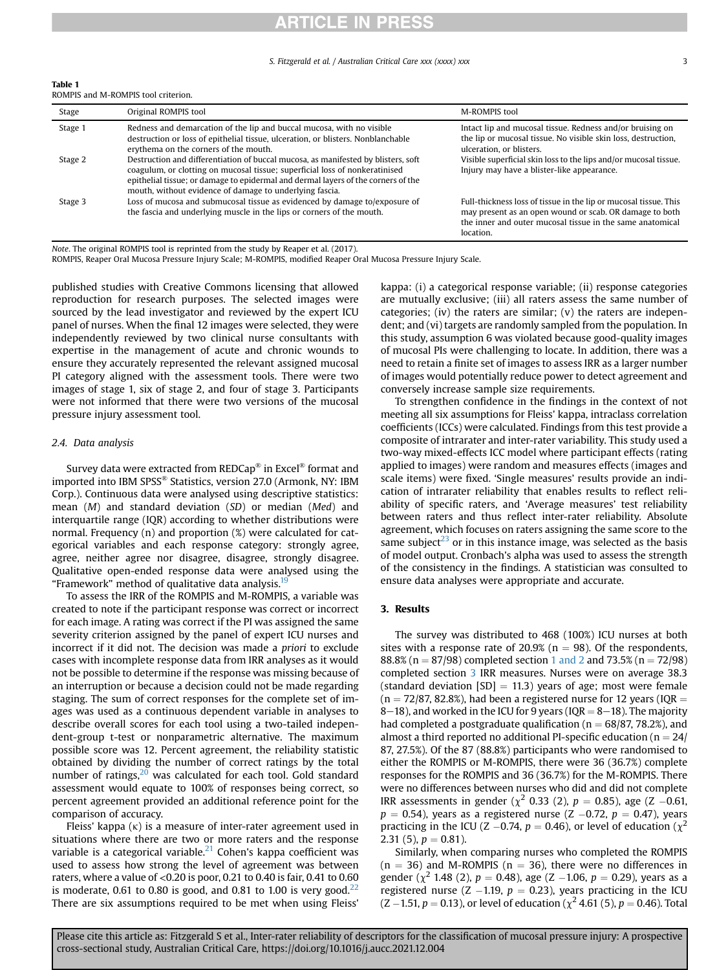## **ARTICLE IN PRESS**

#### S. Fitzgerald et al. / Australian Critical Care xxx (xxxx) xxx 3

<span id="page-2-0"></span>Table 1 ROMPIS and M-ROMPIS tool criterion.

| Stage   | Original ROMPIS tool                                                                                                                                                                                                                                                                                             | M-ROMPIS tool                                                                                                                                                                                         |
|---------|------------------------------------------------------------------------------------------------------------------------------------------------------------------------------------------------------------------------------------------------------------------------------------------------------------------|-------------------------------------------------------------------------------------------------------------------------------------------------------------------------------------------------------|
| Stage 1 | Redness and demarcation of the lip and buccal mucosa, with no visible<br>destruction or loss of epithelial tissue, ulceration, or blisters. Nonblanchable<br>erythema on the corners of the mouth.                                                                                                               | Intact lip and mucosal tissue. Redness and/or bruising on<br>the lip or mucosal tissue. No visible skin loss, destruction,<br>ulceration, or blisters.                                                |
| Stage 2 | Destruction and differentiation of buccal mucosa, as manifested by blisters, soft<br>coagulum, or clotting on mucosal tissue; superficial loss of nonkeratinised<br>epithelial tissue; or damage to epidermal and dermal layers of the corners of the<br>mouth, without evidence of damage to underlying fascia. | Visible superficial skin loss to the lips and/or mucosal tissue.<br>Injury may have a blister-like appearance.                                                                                        |
| Stage 3 | Loss of mucosa and submucosal tissue as evidenced by damage to/exposure of<br>the fascia and underlying muscle in the lips or corners of the mouth.                                                                                                                                                              | Full-thickness loss of tissue in the lip or mucosal tissue. This<br>may present as an open wound or scab. OR damage to both<br>the inner and outer mucosal tissue in the same anatomical<br>location. |

Note. The original ROMPIS tool is reprinted from the study by Reaper et al. (2017).

ROMPIS, Reaper Oral Mucosa Pressure Injury Scale; M-ROMPIS, modified Reaper Oral Mucosa Pressure Injury Scale.

published studies with Creative Commons licensing that allowed reproduction for research purposes. The selected images were sourced by the lead investigator and reviewed by the expert ICU panel of nurses. When the final 12 images were selected, they were independently reviewed by two clinical nurse consultants with expertise in the management of acute and chronic wounds to ensure they accurately represented the relevant assigned mucosal PI category aligned with the assessment tools. There were two images of stage 1, six of stage 2, and four of stage 3. Participants were not informed that there were two versions of the mucosal pressure injury assessment tool.

### 2.4. Data analysis

Survey data were extracted from REDCap® in Excel® format and imported into IBM SPSS® Statistics, version 27.0 (Armonk, NY: IBM Corp.). Continuous data were analysed using descriptive statistics: mean (M) and standard deviation (SD) or median (Med) and interquartile range (IQR) according to whether distributions were normal. Frequency (n) and proportion (%) were calculated for categorical variables and each response category: strongly agree, agree, neither agree nor disagree, disagree, strongly disagree. Qualitative open-ended response data were analysed using the "Framework" method of qualitative data analysis.<sup>[19](#page-6-16)</sup>

To assess the IRR of the ROMPIS and M-ROMPIS, a variable was created to note if the participant response was correct or incorrect for each image. A rating was correct if the PI was assigned the same severity criterion assigned by the panel of expert ICU nurses and incorrect if it did not. The decision was made a priori to exclude cases with incomplete response data from IRR analyses as it would not be possible to determine if the response was missing because of an interruption or because a decision could not be made regarding staging. The sum of correct responses for the complete set of images was used as a continuous dependent variable in analyses to describe overall scores for each tool using a two-tailed independent-group t-test or nonparametric alternative. The maximum possible score was 12. Percent agreement, the reliability statistic obtained by dividing the number of correct ratings by the total number of ratings, $20$  was calculated for each tool. Gold standard assessment would equate to 100% of responses being correct, so percent agreement provided an additional reference point for the comparison of accuracy.

Fleiss' kappa  $(\kappa)$  is a measure of inter-rater agreement used in situations where there are two or more raters and the response variable is a categorical variable. $^{21}$  $^{21}$  $^{21}$  Cohen's kappa coefficient was used to assess how strong the level of agreement was between raters, where a value of <0.20 is poor, 0.21 to 0.40 is fair, 0.41 to 0.60 is moderate, 0.61 to 0.80 is good, and 0.81 to 1.00 is very good. $22$ There are six assumptions required to be met when using Fleiss' kappa: (i) a categorical response variable; (ii) response categories are mutually exclusive; (iii) all raters assess the same number of categories; (iv) the raters are similar; (v) the raters are independent; and (vi) targets are randomly sampled from the population. In this study, assumption 6 was violated because good-quality images of mucosal PIs were challenging to locate. In addition, there was a need to retain a finite set of images to assess IRR as a larger number of images would potentially reduce power to detect agreement and conversely increase sample size requirements.

To strengthen confidence in the findings in the context of not meeting all six assumptions for Fleiss' kappa, intraclass correlation coefficients (ICCs) were calculated. Findings from this test provide a composite of intrarater and inter-rater variability. This study used a two-way mixed-effects ICC model where participant effects (rating applied to images) were random and measures effects (images and scale items) were fixed. 'Single measures' results provide an indication of intrarater reliability that enables results to reflect reliability of specific raters, and 'Average measures' test reliability between raters and thus reflect inter-rater reliability. Absolute agreement, which focuses on raters assigning the same score to the same subject $^{23}$  $^{23}$  $^{23}$  or in this instance image, was selected as the basis of model output. Cronbach's alpha was used to assess the strength of the consistency in the findings. A statistician was consulted to ensure data analyses were appropriate and accurate.

#### <span id="page-2-1"></span>3. Results

The survey was distributed to 468 (100%) ICU nurses at both sites with a response rate of 20.9% ( $n = 98$ ). Of the respondents, 88.8% (n = 87/98) completed section [1 and 2](#page-0-4) and 73.5% (n = 72/98) completed section [3](#page-2-1) IRR measures. Nurses were on average 38.3 (standard deviation  $[SD] = 11.3$ ) years of age; most were female  $(n = 72/87, 82.8%)$ , had been a registered nurse for 12 years (IQR = 8–18), and worked in the ICU for 9 years (IQR  $=$  8–18). The majority had completed a postgraduate qualification ( $n = 68/87, 78.2\%$ ), and almost a third reported no additional PI-specific education ( $n = 24/$ 87, 27.5%). Of the 87 (88.8%) participants who were randomised to either the ROMPIS or M-ROMPIS, there were 36 (36.7%) complete responses for the ROMPIS and 36 (36.7%) for the M-ROMPIS. There were no differences between nurses who did and did not complete IRR assessments in gender ( $\chi^2$  0.33 (2),  $p = 0.85$ ), age (Z -0.61,  $p = 0.54$ ), years as a registered nurse (Z  $-0.72$ ,  $p = 0.47$ ), years practicing in the ICU (Z –0.74,  $p = 0.46$ ), or level of education ( $\chi^2$ 2.31 (5),  $p = 0.81$ ).

Similarly, when comparing nurses who completed the ROMPIS  $(n = 36)$  and M-ROMPIS  $(n = 36)$ , there were no differences in gender ( $\chi^2$  1.48 (2),  $p = 0.48$ ), age (Z  $-1.06$ ,  $p = 0.29$ ), years as a registered nurse (Z –1.19,  $p = 0.23$ ), years practicing in the ICU (Z – 1.51,  $p = 0.13$ ), or level of education ( $\chi^2$  4.61 (5),  $p = 0.46$ ). Total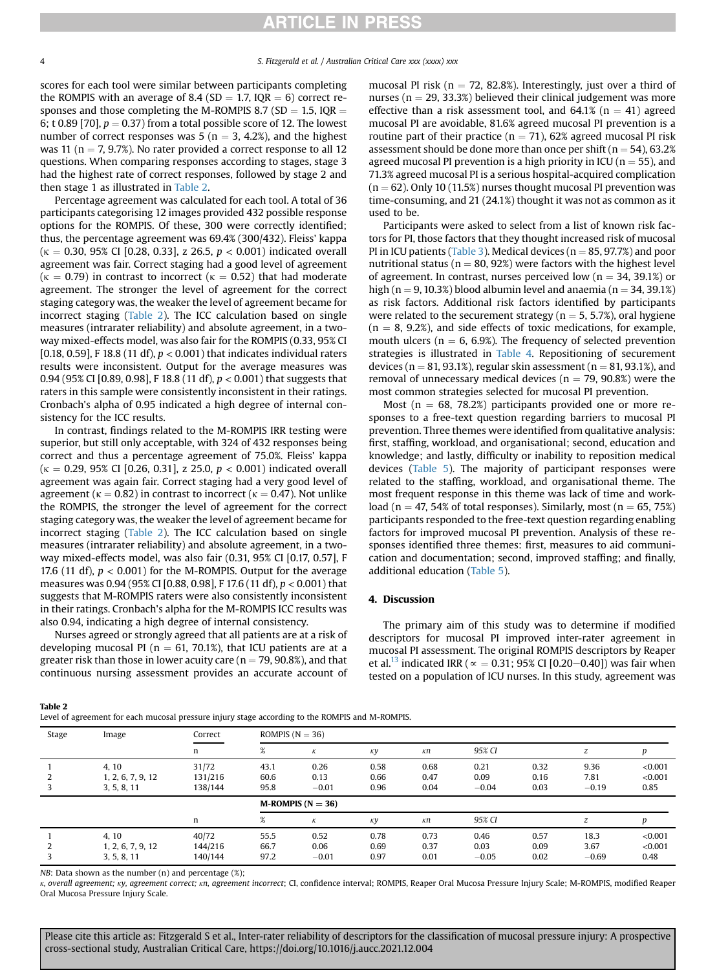## **RTICLE IN PRESS**

scores for each tool were similar between participants completing the ROMPIS with an average of 8.4 (SD  $=$  1.7, IQR  $=$  6) correct responses and those completing the M-ROMPIS 8.7 (SD = 1.5, IQR = 6; t 0.89 [70],  $p = 0.37$ ) from a total possible score of 12. The lowest number of correct responses was  $5$  (n = 3, 4.2%), and the highest was 11 ( $n = 7$ , 9.7%). No rater provided a correct response to all 12 questions. When comparing responses according to stages, stage 3 had the highest rate of correct responses, followed by stage 2 and then stage 1 as illustrated in [Table 2.](#page-3-0)

Percentage agreement was calculated for each tool. A total of 36 participants categorising 12 images provided 432 possible response options for the ROMPIS. Of these, 300 were correctly identified; thus, the percentage agreement was 69.4% (300/432). Fleiss' kappa  $(k = 0.30, 95\%$  CI [0.28, 0.33], z 26.5,  $p < 0.001$  indicated overall agreement was fair. Correct staging had a good level of agreement ( $\kappa = 0.79$ ) in contrast to incorrect ( $\kappa = 0.52$ ) that had moderate agreement. The stronger the level of agreement for the correct staging category was, the weaker the level of agreement became for incorrect staging [\(Table 2\)](#page-3-0). The ICC calculation based on single measures (intrarater reliability) and absolute agreement, in a twoway mixed-effects model, was also fair for the ROMPIS (0.33, 95% CI [0.18, 0.59], F 18.8 (11 df),  $p < 0.001$ ) that indicates individual raters results were inconsistent. Output for the average measures was 0.94 (95% CI [0.89, 0.98], F 18.8 (11 df),  $p < 0.001$ ) that suggests that raters in this sample were consistently inconsistent in their ratings. Cronbach's alpha of 0.95 indicated a high degree of internal consistency for the ICC results.

In contrast, findings related to the M-ROMPIS IRR testing were superior, but still only acceptable, with 324 of 432 responses being correct and thus a percentage agreement of 75.0%. Fleiss' kappa  $(k = 0.29, 95\%$  CI [0.26, 0.31], z 25.0,  $p < 0.001$  indicated overall agreement was again fair. Correct staging had a very good level of agreement ( $\kappa = 0.82$ ) in contrast to incorrect ( $\kappa = 0.47$ ). Not unlike the ROMPIS, the stronger the level of agreement for the correct staging category was, the weaker the level of agreement became for incorrect staging [\(Table 2\)](#page-3-0). The ICC calculation based on single measures (intrarater reliability) and absolute agreement, in a twoway mixed-effects model, was also fair (0.31, 95% CI [0.17, 0.57], F 17.6 (11 df),  $p < 0.001$ ) for the M-ROMPIS. Output for the average measures was 0.94 (95% CI [0.88, 0.98], F 17.6 (11 df), p < 0.001) that suggests that M-ROMPIS raters were also consistently inconsistent in their ratings. Cronbach's alpha for the M-ROMPIS ICC results was also 0.94, indicating a high degree of internal consistency.

Nurses agreed or strongly agreed that all patients are at a risk of developing mucosal PI ( $n = 61, 70.1\%$ ), that ICU patients are at a greater risk than those in lower acuity care ( $n = 79, 90.8\%$ ), and that continuous nursing assessment provides an accurate account of mucosal PI risk ( $n = 72, 82.8\%$ ). Interestingly, just over a third of nurses ( $n = 29, 33.3\%$ ) believed their clinical judgement was more effective than a risk assessment tool, and  $64.1\%$  (n = 41) agreed mucosal PI are avoidable, 81.6% agreed mucosal PI prevention is a routine part of their practice ( $n = 71$ ), 62% agreed mucosal PI risk assessment should be done more than once per shift ( $n = 54$ ), 63.2% agreed mucosal PI prevention is a high priority in ICU ( $n = 55$ ), and 71.3% agreed mucosal PI is a serious hospital-acquired complication  $(n = 62)$ . Only 10 (11.5%) nurses thought mucosal PI prevention was time-consuming, and 21 (24.1%) thought it was not as common as it used to be.

Participants were asked to select from a list of known risk factors for PI, those factors that they thought increased risk of mucosal PI in ICU patients ([Table 3\)](#page-4-0). Medical devices ( $n = 85, 97.7\%$ ) and poor nutritional status ( $n = 80, 92\%$ ) were factors with the highest level of agreement. In contrast, nurses perceived low ( $n = 34, 39.1\%$ ) or high (n = 9, 10.3%) blood albumin level and anaemia (n = 34, 39.1%) as risk factors. Additional risk factors identified by participants were related to the securement strategy ( $n = 5, 5.7\%$ ), oral hygiene  $(n = 8, 9.2%)$ , and side effects of toxic medications, for example, mouth ulcers ( $n = 6$ , 6.9%). The frequency of selected prevention strategies is illustrated in [Table 4](#page-4-1). Repositioning of securement devices ( $n = 81, 93.1\%$ ), regular skin assessment ( $n = 81, 93.1\%$ ), and removal of unnecessary medical devices ( $n = 79, 90.8\%$ ) were the most common strategies selected for mucosal PI prevention.

Most ( $n = 68$ , 78.2%) participants provided one or more responses to a free-text question regarding barriers to mucosal PI prevention. Three themes were identified from qualitative analysis: first, staffing, workload, and organisational; second, education and knowledge; and lastly, difficulty or inability to reposition medical devices ([Table 5](#page-5-2)). The majority of participant responses were related to the staffing, workload, and organisational theme. The most frequent response in this theme was lack of time and workload (n = 47, 54% of total responses). Similarly, most (n = 65, 75%) participants responded to the free-text question regarding enabling factors for improved mucosal PI prevention. Analysis of these responses identified three themes: first, measures to aid communication and documentation; second, improved staffing; and finally, additional education [\(Table 5](#page-5-2)).

#### 4. Discussion

The primary aim of this study was to determine if modified descriptors for mucosal PI improved inter-rater agreement in mucosal PI assessment. The original ROMPIS descriptors by Reaper et al.<sup>[13](#page-6-10)</sup> indicated IRR ( $\alpha = 0.31$ ; 95% CI [0.20–0.40]) was fair when tested on a population of ICU nurses. In this study, agreement was

<span id="page-3-0"></span>Table 2

Level of agreement for each mucosal pressure injury stage according to the ROMPIS and M-ROMPIS.

| Stage | Image                                     | Correct                     | ROMPIS $(N = 36)$    |                         |                      |                      |                         |                      |                         |                            |
|-------|-------------------------------------------|-----------------------------|----------------------|-------------------------|----------------------|----------------------|-------------------------|----------------------|-------------------------|----------------------------|
|       |                                           | n                           | %                    | К                       | кy                   | кп                   | 95% CI                  |                      | z                       |                            |
|       | 4, 10<br>1, 2, 6, 7, 9, 12<br>3, 5, 8, 11 | 31/72<br>131/216<br>138/144 | 43.1<br>60.6<br>95.8 | 0.26<br>0.13<br>$-0.01$ | 0.58<br>0.66<br>0.96 | 0.68<br>0.47<br>0.04 | 0.21<br>0.09<br>$-0.04$ | 0.32<br>0.16<br>0.03 | 9.36<br>7.81<br>$-0.19$ | < 0.001<br>< 0.001<br>0.85 |
|       |                                           |                             |                      | M-ROMPIS ( $N = 36$ )   |                      |                      |                         |                      |                         |                            |
|       |                                           | n                           | %                    | К                       | кy                   | кп                   | 95% CI                  |                      | z                       | D                          |
|       | 4, 10<br>1, 2, 6, 7, 9, 12<br>3, 5, 8, 11 | 40/72<br>144/216<br>140/144 | 55.5<br>66.7<br>97.2 | 0.52<br>0.06<br>$-0.01$ | 0.78<br>0.69<br>0.97 | 0.73<br>0.37<br>0.01 | 0.46<br>0.03<br>$-0.05$ | 0.57<br>0.09<br>0.02 | 18.3<br>3.67<br>$-0.69$ | < 0.001<br>< 0.001<br>0.48 |

NB: Data shown as the number (n) and percentage (%);

k, overall agreement; ky, agreement correct; kn, agreement incorrect; CI, confidence interval; ROMPIS, Reaper Oral Mucosa Pressure Injury Scale; M-ROMPIS, modified Reaper Oral Mucosa Pressure Injury Scale.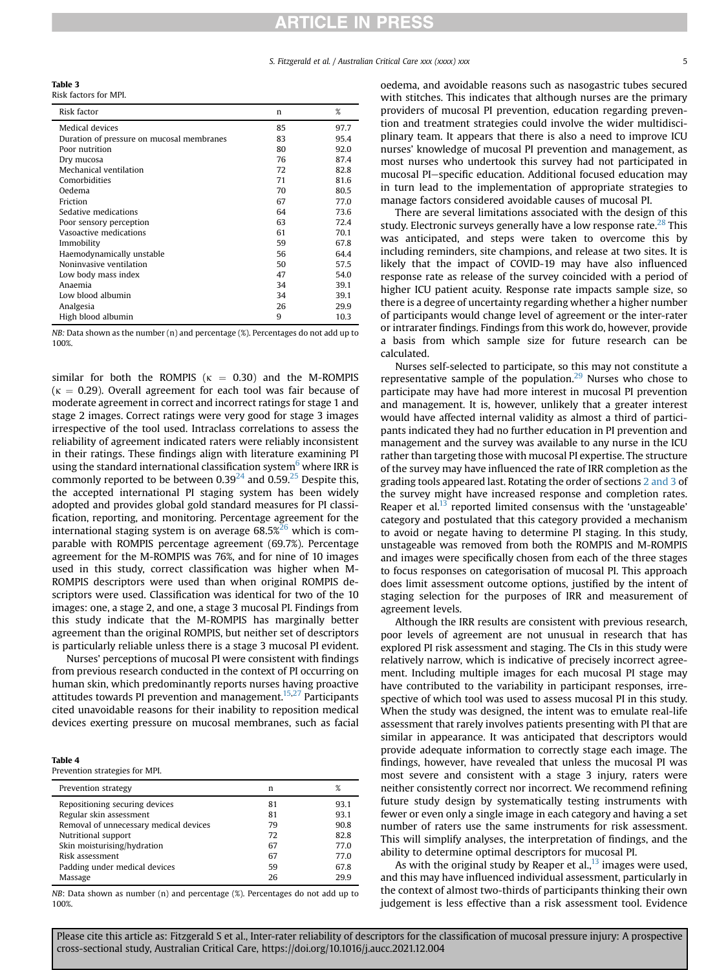## **ARTICLE IN PRESS**

S. Fitzgerald et al. / Australian Critical Care xxx (xxxx) xxx 5

<span id="page-4-0"></span>Table 3

 $R_{\text{max}}$  for MPI.

| NISN IQULVIS IVI IVII I.                  |    |      |
|-------------------------------------------|----|------|
| Risk factor                               | n  | %    |
| Medical devices                           | 85 | 97.7 |
| Duration of pressure on mucosal membranes | 83 | 95.4 |
| Poor nutrition                            | 80 | 92.0 |
| Dry mucosa                                | 76 | 87.4 |
| Mechanical ventilation                    | 72 | 82.8 |
| Comorbidities                             | 71 | 81.6 |
| Oedema                                    | 70 | 80.5 |
| Friction                                  | 67 | 77.0 |
| Sedative medications                      | 64 | 73.6 |
| Poor sensory perception                   | 63 | 72.4 |
| Vasoactive medications                    | 61 | 70.1 |
| Immobility                                | 59 | 67.8 |
| Haemodynamically unstable                 | 56 | 64.4 |
| Noninvasive ventilation                   | 50 | 57.5 |
| Low body mass index                       | 47 | 54.0 |
| Anaemia                                   | 34 | 39.1 |
| Low blood albumin                         | 34 | 39.1 |
| Analgesia                                 | 26 | 29.9 |
| High blood albumin                        | 9  | 10.3 |
|                                           |    |      |

NB: Data shown as the number (n) and percentage (%). Percentages do not add up to 100%.

similar for both the ROMPIS ( $\kappa = 0.30$ ) and the M-ROMPIS ( $\kappa$  = 0.29). Overall agreement for each tool was fair because of moderate agreement in correct and incorrect ratings for stage 1 and stage 2 images. Correct ratings were very good for stage 3 images irrespective of the tool used. Intraclass correlations to assess the reliability of agreement indicated raters were reliably inconsistent in their ratings. These findings align with literature examining PI using the standard international classification system<sup>[6](#page-6-3)</sup> where IRR is commonly reported to be between  $0.39^{24}$  and  $0.59^{25}$  Despite this, the accepted international PI staging system has been widely adopted and provides global gold standard measures for PI classification, reporting, and monitoring. Percentage agreement for the international staging system is on average  $68.5\%$ <sup>[26](#page-6-23)</sup> which is comparable with ROMPIS percentage agreement (69.7%). Percentage agreement for the M-ROMPIS was 76%, and for nine of 10 images used in this study, correct classification was higher when M-ROMPIS descriptors were used than when original ROMPIS descriptors were used. Classification was identical for two of the 10 images: one, a stage 2, and one, a stage 3 mucosal PI. Findings from this study indicate that the M-ROMPIS has marginally better agreement than the original ROMPIS, but neither set of descriptors is particularly reliable unless there is a stage 3 mucosal PI evident.

Nurses' perceptions of mucosal PI were consistent with findings from previous research conducted in the context of PI occurring on human skin, which predominantly reports nurses having proactive attitudes towards PI prevention and management.[15](#page-6-12),[27](#page-6-24) Participants cited unavoidable reasons for their inability to reposition medical devices exerting pressure on mucosal membranes, such as facial

#### <span id="page-4-1"></span>Table 4

Prevention strategies for MPI.

| Prevention strategy                    | n  | %    |
|----------------------------------------|----|------|
| Repositioning securing devices         | 81 | 93.1 |
| Regular skin assessment                | 81 | 93.1 |
| Removal of unnecessary medical devices | 79 | 90.8 |
| Nutritional support                    | 72 | 82.8 |
| Skin moisturising/hydration            | 67 | 77.0 |
| Risk assessment                        | 67 | 77.0 |
| Padding under medical devices          | 59 | 67.8 |
| Massage                                | 26 | 29.9 |

NB: Data shown as number (n) and percentage (%). Percentages do not add up to 100%.

oedema, and avoidable reasons such as nasogastric tubes secured with stitches. This indicates that although nurses are the primary providers of mucosal PI prevention, education regarding prevention and treatment strategies could involve the wider multidisciplinary team. It appears that there is also a need to improve ICU nurses' knowledge of mucosal PI prevention and management, as most nurses who undertook this survey had not participated in mucosal PI-specific education. Additional focused education may in turn lead to the implementation of appropriate strategies to manage factors considered avoidable causes of mucosal PI.

There are several limitations associated with the design of this study. Electronic surveys generally have a low response rate.<sup>[28](#page-6-25)</sup> This was anticipated, and steps were taken to overcome this by including reminders, site champions, and release at two sites. It is likely that the impact of COVID-19 may have also influenced response rate as release of the survey coincided with a period of higher ICU patient acuity. Response rate impacts sample size, so there is a degree of uncertainty regarding whether a higher number of participants would change level of agreement or the inter-rater or intrarater findings. Findings from this work do, however, provide a basis from which sample size for future research can be calculated.

Nurses self-selected to participate, so this may not constitute a representative sample of the population. $29$  Nurses who chose to participate may have had more interest in mucosal PI prevention and management. It is, however, unlikely that a greater interest would have affected internal validity as almost a third of participants indicated they had no further education in PI prevention and management and the survey was available to any nurse in the ICU rather than targeting those with mucosal PI expertise. The structure of the survey may have influenced the rate of IRR completion as the grading tools appeared last. Rotating the order of sections [2 and 3](#page-1-0) of the survey might have increased response and completion rates. Reaper et al. $^{13}$  $^{13}$  $^{13}$  reported limited consensus with the 'unstageable' category and postulated that this category provided a mechanism to avoid or negate having to determine PI staging. In this study, unstageable was removed from both the ROMPIS and M-ROMPIS and images were specifically chosen from each of the three stages to focus responses on categorisation of mucosal PI. This approach does limit assessment outcome options, justified by the intent of staging selection for the purposes of IRR and measurement of agreement levels.

Although the IRR results are consistent with previous research, poor levels of agreement are not unusual in research that has explored PI risk assessment and staging. The CIs in this study were relatively narrow, which is indicative of precisely incorrect agreement. Including multiple images for each mucosal PI stage may have contributed to the variability in participant responses, irrespective of which tool was used to assess mucosal PI in this study. When the study was designed, the intent was to emulate real-life assessment that rarely involves patients presenting with PI that are similar in appearance. It was anticipated that descriptors would provide adequate information to correctly stage each image. The findings, however, have revealed that unless the mucosal PI was most severe and consistent with a stage 3 injury, raters were neither consistently correct nor incorrect. We recommend refining future study design by systematically testing instruments with fewer or even only a single image in each category and having a set number of raters use the same instruments for risk assessment. This will simplify analyses, the interpretation of findings, and the ability to determine optimal descriptors for mucosal PI.

As with the original study by Reaper et al., $^{13}$  images were used, and this may have influenced individual assessment, particularly in the context of almost two-thirds of participants thinking their own judgement is less effective than a risk assessment tool. Evidence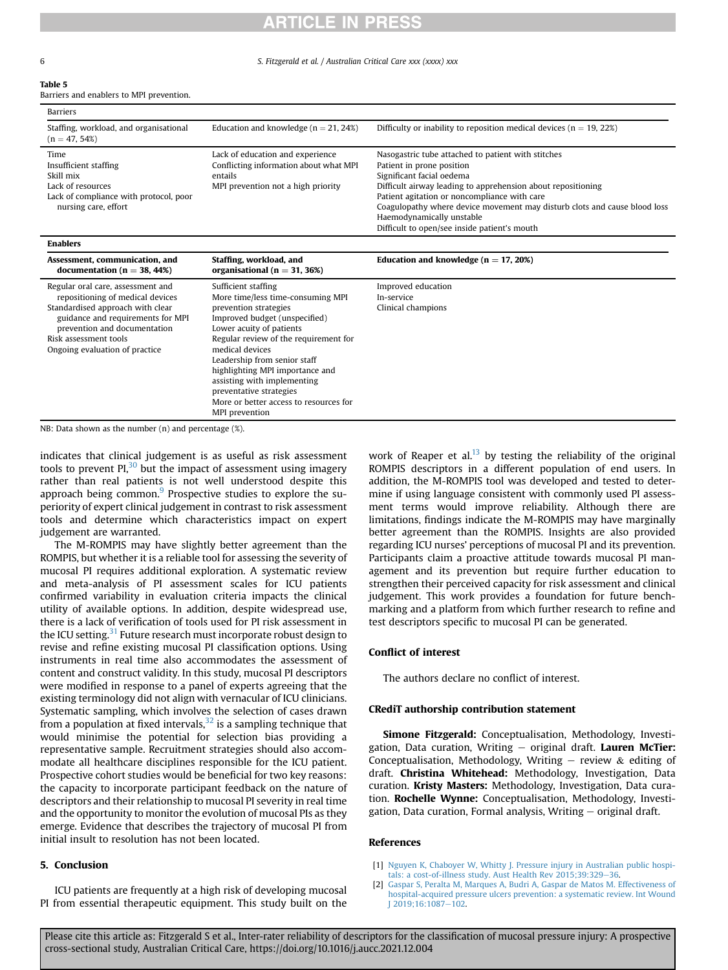# **RTICLE IN PRESS**

6 S. Fitzgerald et al. / Australian Critical Care xxx (xxxx) xxx

<span id="page-5-2"></span>

|--|--|

Barriers and enablers to MPI prevention.

prevention and documentation

NB: Data shown as the number (n) and percentage (%).

Risk assessment tools Ongoing evaluation of practice

| Barriers                                                                                                                                       |                                                                                                                             |                                                                                                                                                                                                                                                                                                                                                                                        |  |  |
|------------------------------------------------------------------------------------------------------------------------------------------------|-----------------------------------------------------------------------------------------------------------------------------|----------------------------------------------------------------------------------------------------------------------------------------------------------------------------------------------------------------------------------------------------------------------------------------------------------------------------------------------------------------------------------------|--|--|
| Staffing, workload, and organisational<br>$(n = 47, 54%)$                                                                                      | Education and knowledge ( $n = 21,24\%)$                                                                                    | Difficulty or inability to reposition medical devices ( $n = 19,22\%)$                                                                                                                                                                                                                                                                                                                 |  |  |
| Time<br>Insufficient staffing<br>Skill mix<br>Lack of resources<br>Lack of compliance with protocol, poor<br>nursing care, effort              | Lack of education and experience<br>Conflicting information about what MPI<br>entails<br>MPI prevention not a high priority | Nasogastric tube attached to patient with stitches<br>Patient in prone position<br>Significant facial oedema<br>Difficult airway leading to apprehension about repositioning<br>Patient agitation or noncompliance with care<br>Coagulopathy where device movement may disturb clots and cause blood loss<br>Haemodynamically unstable<br>Difficult to open/see inside patient's mouth |  |  |
| <b>Enablers</b>                                                                                                                                |                                                                                                                             |                                                                                                                                                                                                                                                                                                                                                                                        |  |  |
| Assessment, communication, and<br>documentation ( $n = 38,44\%)$                                                                               | Staffing, workload, and<br>organisational ( $n = 31, 36\%)$                                                                 | Education and knowledge ( $n = 17,20\%)$                                                                                                                                                                                                                                                                                                                                               |  |  |
| Regular oral care, assessment and<br>repositioning of medical devices<br>Standardised approach with clear<br>guidance and requirements for MPI | Sufficient staffing<br>More time/less time-consuming MPI<br>prevention strategies<br>Improved budget (unspecified)          | Improved education<br>In-service<br>Clinical champions                                                                                                                                                                                                                                                                                                                                 |  |  |

indicates that clinical judgement is as useful as risk assessment tools to prevent  $PI<sub>1</sub><sup>30</sup>$  $PI<sub>1</sub><sup>30</sup>$  $PI<sub>1</sub><sup>30</sup>$  but the impact of assessment using imagery rather than real patients is not well understood despite this approach being common.<sup>[9](#page-6-6)</sup> Prospective studies to explore the superiority of expert clinical judgement in contrast to risk assessment

Lower acuity of patients

Leadership from senior staff highlighting MPI importance and assisting with implementing preventative strategies

medical devices

MPI prevention

Regular review of the requirement for

More or better access to resources for

tools and determine which characteristics impact on expert judgement are warranted. The M-ROMPIS may have slightly better agreement than the ROMPIS, but whether it is a reliable tool for assessing the severity of mucosal PI requires additional exploration. A systematic review and meta-analysis of PI assessment scales for ICU patients confirmed variability in evaluation criteria impacts the clinical utility of available options. In addition, despite widespread use, there is a lack of verification of tools used for PI risk assessment in the ICU setting.<sup>[31](#page-6-28)</sup> Future research must incorporate robust design to revise and refine existing mucosal PI classification options. Using instruments in real time also accommodates the assessment of content and construct validity. In this study, mucosal PI descriptors were modified in response to a panel of experts agreeing that the existing terminology did not align with vernacular of ICU clinicians. Systematic sampling, which involves the selection of cases drawn from a population at fixed intervals, $32$  is a sampling technique that would minimise the potential for selection bias providing a representative sample. Recruitment strategies should also accommodate all healthcare disciplines responsible for the ICU patient. Prospective cohort studies would be beneficial for two key reasons: the capacity to incorporate participant feedback on the nature of descriptors and their relationship to mucosal PI severity in real time and the opportunity to monitor the evolution of mucosal PIs as they emerge. Evidence that describes the trajectory of mucosal PI from

## 5. Conclusion

ICU patients are frequently at a high risk of developing mucosal PI from essential therapeutic equipment. This study built on the

initial insult to resolution has not been located.

work of Reaper et al. $13$  by testing the reliability of the original ROMPIS descriptors in a different population of end users. In addition, the M-ROMPIS tool was developed and tested to determine if using language consistent with commonly used PI assessment terms would improve reliability. Although there are limitations, findings indicate the M-ROMPIS may have marginally better agreement than the ROMPIS. Insights are also provided regarding ICU nurses' perceptions of mucosal PI and its prevention. Participants claim a proactive attitude towards mucosal PI management and its prevention but require further education to strengthen their perceived capacity for risk assessment and clinical judgement. This work provides a foundation for future benchmarking and a platform from which further research to refine and test descriptors specific to mucosal PI can be generated.

## Conflict of interest

The authors declare no conflict of interest.

### CRediT authorship contribution statement

Simone Fitzgerald: Conceptualisation, Methodology, Investigation, Data curation, Writing  $-$  original draft. Lauren McTier: Conceptualisation, Methodology, Writing  $-$  review  $\&$  editing of draft. Christina Whitehead: Methodology, Investigation, Data curation. Kristy Masters: Methodology, Investigation, Data curation. Rochelle Wynne: Conceptualisation, Methodology, Investigation, Data curation, Formal analysis, Writing  $-$  original draft.

### <span id="page-5-0"></span>References

- <span id="page-5-1"></span>[1] [Nguyen K, Chaboyer W, Whitty J. Pressure injury in Australian public hospi](http://refhub.elsevier.com/S1036-7314(21)00178-8/sref1)[tals: a cost-of-illness study. Aust Health Rev 2015;39:329](http://refhub.elsevier.com/S1036-7314(21)00178-8/sref1)-[36](http://refhub.elsevier.com/S1036-7314(21)00178-8/sref1).
- [2] [Gaspar S, Peralta M, Marques A, Budri A, Gaspar de Matos M. Effectiveness of](http://refhub.elsevier.com/S1036-7314(21)00178-8/sref2) [hospital-acquired pressure ulcers prevention: a systematic review. Int Wound](http://refhub.elsevier.com/S1036-7314(21)00178-8/sref2) [J 2019;16:1087](http://refhub.elsevier.com/S1036-7314(21)00178-8/sref2)-[102.](http://refhub.elsevier.com/S1036-7314(21)00178-8/sref2)